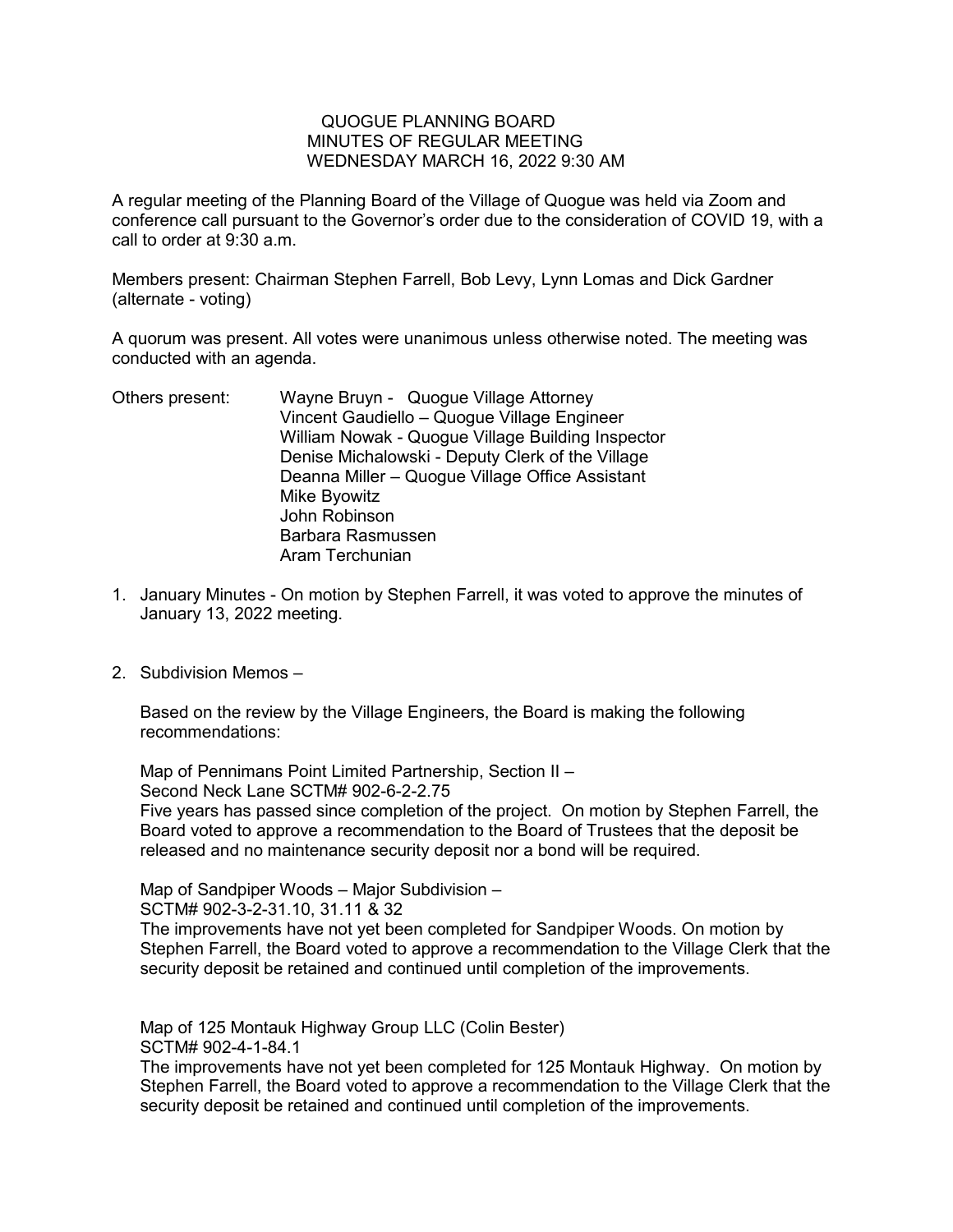## QUOGUE PLANNING BOARD MINUTES OF REGULAR MEETING WEDNESDAY MARCH 16, 2022 9:30 AM

A regular meeting of the Planning Board of the Village of Quogue was held via Zoom and conference call pursuant to the Governor's order due to the consideration of COVID 19, with a call to order at 9:30 a.m.

Members present: Chairman Stephen Farrell, Bob Levy, Lynn Lomas and Dick Gardner (alternate - voting)

A quorum was present. All votes were unanimous unless otherwise noted. The meeting was conducted with an agenda.

- Others present: Wayne Bruyn Quogue Village Attorney Vincent Gaudiello – Quogue Village Engineer William Nowak - Quogue Village Building Inspector Denise Michalowski - Deputy Clerk of the Village Deanna Miller – Quogue Village Office Assistant Mike Byowitz John Robinson Barbara Rasmussen Aram Terchunian
- 1. January Minutes On motion by Stephen Farrell, it was voted to approve the minutes of January 13, 2022 meeting.
- 2. Subdivision Memos –

Based on the review by the Village Engineers, the Board is making the following recommendations:

Map of Pennimans Point Limited Partnership, Section II – Second Neck Lane SCTM# 902-6-2-2.75

Five years has passed since completion of the project. On motion by Stephen Farrell, the Board voted to approve a recommendation to the Board of Trustees that the deposit be released and no maintenance security deposit nor a bond will be required.

Map of Sandpiper Woods – Major Subdivision –

SCTM# 902-3-2-31.10, 31.11 & 32

The improvements have not yet been completed for Sandpiper Woods. On motion by Stephen Farrell, the Board voted to approve a recommendation to the Village Clerk that the security deposit be retained and continued until completion of the improvements.

Map of 125 Montauk Highway Group LLC (Colin Bester) SCTM# 902-4-1-84.1

The improvements have not yet been completed for 125 Montauk Highway. On motion by Stephen Farrell, the Board voted to approve a recommendation to the Village Clerk that the security deposit be retained and continued until completion of the improvements.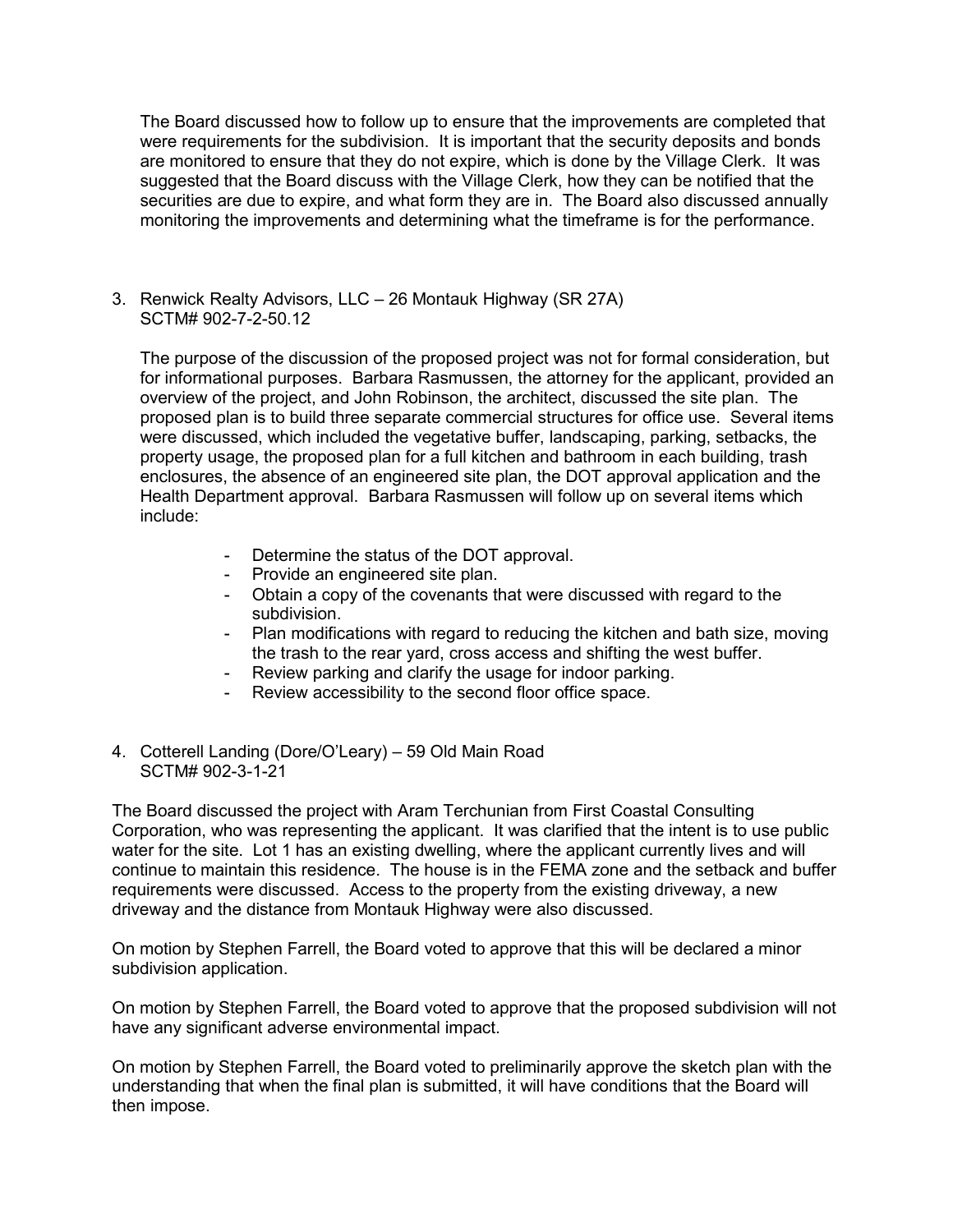The Board discussed how to follow up to ensure that the improvements are completed that were requirements for the subdivision. It is important that the security deposits and bonds are monitored to ensure that they do not expire, which is done by the Village Clerk. It was suggested that the Board discuss with the Village Clerk, how they can be notified that the securities are due to expire, and what form they are in. The Board also discussed annually monitoring the improvements and determining what the timeframe is for the performance.

3. Renwick Realty Advisors, LLC – 26 Montauk Highway (SR 27A) SCTM# 902-7-2-50.12

The purpose of the discussion of the proposed project was not for formal consideration, but for informational purposes. Barbara Rasmussen, the attorney for the applicant, provided an overview of the project, and John Robinson, the architect, discussed the site plan. The proposed plan is to build three separate commercial structures for office use. Several items were discussed, which included the vegetative buffer, landscaping, parking, setbacks, the property usage, the proposed plan for a full kitchen and bathroom in each building, trash enclosures, the absence of an engineered site plan, the DOT approval application and the Health Department approval. Barbara Rasmussen will follow up on several items which include:

- Determine the status of the DOT approval.
- Provide an engineered site plan.
- Obtain a copy of the covenants that were discussed with regard to the subdivision.
- Plan modifications with regard to reducing the kitchen and bath size, moving the trash to the rear yard, cross access and shifting the west buffer.
- Review parking and clarify the usage for indoor parking.
- Review accessibility to the second floor office space.
- 4. Cotterell Landing (Dore/O'Leary) 59 Old Main Road SCTM# 902-3-1-21

The Board discussed the project with Aram Terchunian from First Coastal Consulting Corporation, who was representing the applicant. It was clarified that the intent is to use public water for the site. Lot 1 has an existing dwelling, where the applicant currently lives and will continue to maintain this residence. The house is in the FEMA zone and the setback and buffer requirements were discussed. Access to the property from the existing driveway, a new driveway and the distance from Montauk Highway were also discussed.

On motion by Stephen Farrell, the Board voted to approve that this will be declared a minor subdivision application.

On motion by Stephen Farrell, the Board voted to approve that the proposed subdivision will not have any significant adverse environmental impact.

On motion by Stephen Farrell, the Board voted to preliminarily approve the sketch plan with the understanding that when the final plan is submitted, it will have conditions that the Board will then impose.